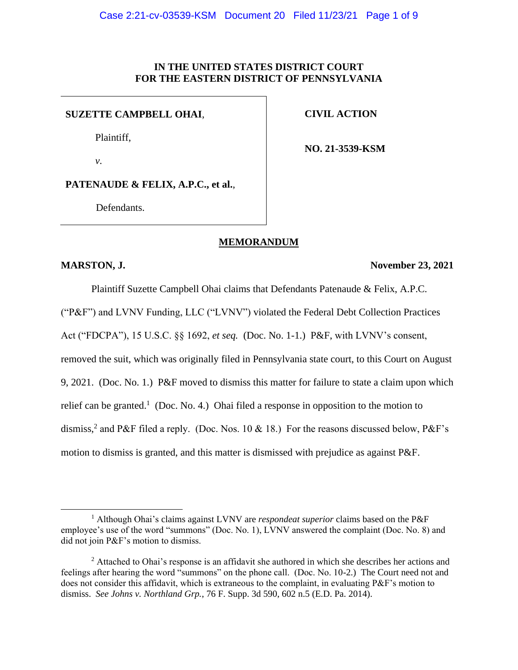## **IN THE UNITED STATES DISTRICT COURT FOR THE EASTERN DISTRICT OF PENNSYLVANIA**

#### **SUZETTE CAMPBELL OHAI**,

Plaintiff,

*v.*

**CIVIL ACTION**

**NO. 21-3539-KSM**

**PATENAUDE & FELIX, A.P.C., et al.**,

Defendants.

# **MEMORANDUM**

#### **MARSTON, J. November 23, 2021**

Plaintiff Suzette Campbell Ohai claims that Defendants Patenaude & Felix, A.P.C. ("P&F") and LVNV Funding, LLC ("LVNV") violated the Federal Debt Collection Practices Act ("FDCPA"), 15 U.S.C. §§ 1692, *et seq.* (Doc. No. 1-1.) P&F, with LVNV's consent, removed the suit, which was originally filed in Pennsylvania state court, to this Court on August 9, 2021. (Doc. No. 1.) P&F moved to dismiss this matter for failure to state a claim upon which relief can be granted.<sup>1</sup> (Doc. No. 4.) Ohai filed a response in opposition to the motion to dismiss,<sup>2</sup> and P&F filed a reply. (Doc. Nos. 10 & 18.) For the reasons discussed below, P&F's motion to dismiss is granted, and this matter is dismissed with prejudice as against P&F.

<sup>1</sup> Although Ohai's claims against LVNV are *respondeat superior* claims based on the P&F employee's use of the word "summons" (Doc. No. 1), LVNV answered the complaint (Doc. No. 8) and did not join P&F's motion to dismiss.

 $<sup>2</sup>$  Attached to Ohai's response is an affidavit she authored in which she describes her actions and</sup> feelings after hearing the word "summons" on the phone call. (Doc. No. 10-2.) The Court need not and does not consider this affidavit, which is extraneous to the complaint, in evaluating P&F's motion to dismiss. *See Johns v. Northland Grp.*, 76 F. Supp. 3d 590, 602 n.5 (E.D. Pa. 2014).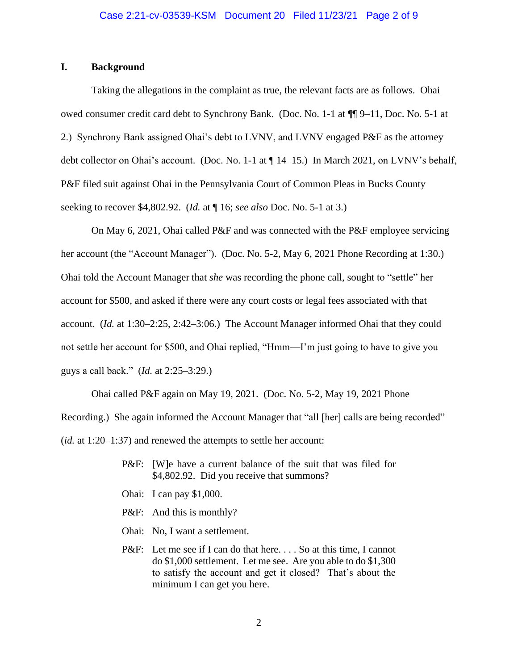## **I. Background**

Taking the allegations in the complaint as true, the relevant facts are as follows. Ohai owed consumer credit card debt to Synchrony Bank. (Doc. No. 1-1 at ¶¶ 9–11, Doc. No. 5-1 at 2.) Synchrony Bank assigned Ohai's debt to LVNV, and LVNV engaged P&F as the attorney debt collector on Ohai's account. (Doc. No. 1-1 at ¶ 14–15.) In March 2021, on LVNV's behalf, P&F filed suit against Ohai in the Pennsylvania Court of Common Pleas in Bucks County seeking to recover \$4,802.92. (*Id.* at ¶ 16; *see also* Doc. No. 5-1 at 3.)

On May 6, 2021, Ohai called P&F and was connected with the P&F employee servicing her account (the "Account Manager"). (Doc. No. 5-2, May 6, 2021 Phone Recording at 1:30.) Ohai told the Account Manager that *she* was recording the phone call, sought to "settle" her account for \$500, and asked if there were any court costs or legal fees associated with that account. (*Id.* at 1:30–2:25, 2:42–3:06.) The Account Manager informed Ohai that they could not settle her account for \$500, and Ohai replied, "Hmm—I'm just going to have to give you guys a call back." (*Id.* at 2:25–3:29.)

Ohai called P&F again on May 19, 2021. (Doc. No. 5-2, May 19, 2021 Phone Recording.) She again informed the Account Manager that "all [her] calls are being recorded" (*id.* at 1:20–1:37) and renewed the attempts to settle her account:

- P&F: [W]e have a current balance of the suit that was filed for \$4,802.92. Did you receive that summons?
- Ohai: I can pay \$1,000.
- P&F: And this is monthly?
- Ohai: No, I want a settlement.
- P&F: Let me see if I can do that here. . . . So at this time, I cannot do \$1,000 settlement. Let me see. Are you able to do \$1,300 to satisfy the account and get it closed? That's about the minimum I can get you here.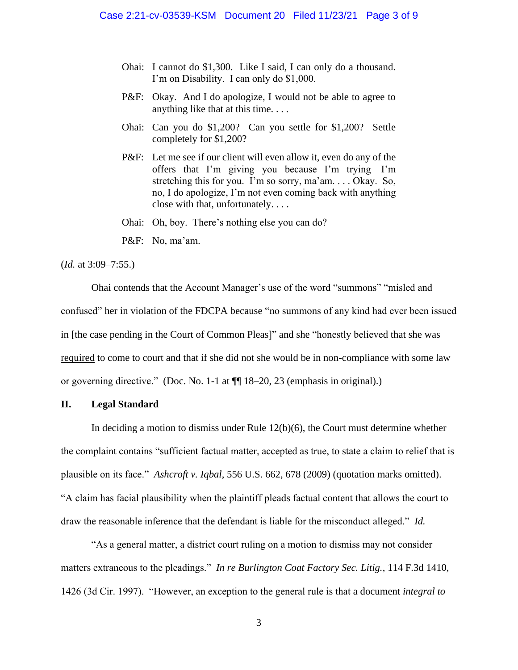- Ohai: I cannot do \$1,300. Like I said, I can only do a thousand. I'm on Disability. I can only do \$1,000.
- P&F: Okay. And I do apologize, I would not be able to agree to anything like that at this time. . . .
- Ohai: Can you do \$1,200? Can you settle for \$1,200? Settle completely for \$1,200?
- P&F: Let me see if our client will even allow it, even do any of the offers that I'm giving you because I'm trying—I'm stretching this for you. I'm so sorry, ma'am. . . . Okay. So, no, I do apologize, I'm not even coming back with anything close with that, unfortunately. . . .
- Ohai: Oh, boy. There's nothing else you can do?
- P&F: No, ma'am.

(*Id.* at 3:09–7:55.)

Ohai contends that the Account Manager's use of the word "summons" "misled and confused" her in violation of the FDCPA because "no summons of any kind had ever been issued in [the case pending in the Court of Common Pleas]" and she "honestly believed that she was required to come to court and that if she did not she would be in non-compliance with some law or governing directive." (Doc. No. 1-1 at ¶¶ 18–20, 23 (emphasis in original).)

## **II. Legal Standard**

In deciding a motion to dismiss under Rule 12(b)(6), the Court must determine whether the complaint contains "sufficient factual matter, accepted as true, to state a claim to relief that is plausible on its face." *Ashcroft v. Iqbal*, 556 U.S. 662, 678 (2009) (quotation marks omitted). "A claim has facial plausibility when the plaintiff pleads factual content that allows the court to draw the reasonable inference that the defendant is liable for the misconduct alleged." *Id.* 

"As a general matter, a district court ruling on a motion to dismiss may not consider matters extraneous to the pleadings." *In re Burlington Coat Factory Sec. Litig.*, 114 F.3d 1410, 1426 (3d Cir. 1997). "However, an exception to the general rule is that a document *integral to*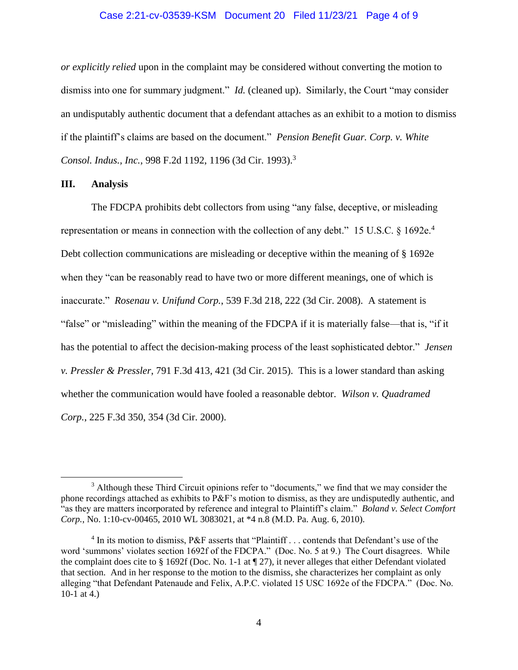## Case 2:21-cv-03539-KSM Document 20 Filed 11/23/21 Page 4 of 9

*or explicitly relied* upon in the complaint may be considered without converting the motion to dismiss into one for summary judgment." *Id.* (cleaned up). Similarly, the Court "may consider an undisputably authentic document that a defendant attaches as an exhibit to a motion to dismiss if the plaintiff's claims are based on the document." *Pension Benefit Guar. Corp. v. White Consol. Indus., Inc., 998 F.2d 1192, 1196 (3d Cir. 1993).*<sup>3</sup>

#### **III. Analysis**

The FDCPA prohibits debt collectors from using "any false, deceptive, or misleading representation or means in connection with the collection of any debt." 15 U.S.C.  $\S$  1692e.<sup>4</sup> Debt collection communications are misleading or deceptive within the meaning of § 1692e when they "can be reasonably read to have two or more different meanings, one of which is inaccurate." *Rosenau v. Unifund Corp.*, 539 F.3d 218, 222 (3d Cir. 2008). A statement is "false" or "misleading" within the meaning of the FDCPA if it is materially false—that is, "if it has the potential to affect the decision-making process of the least sophisticated debtor." *Jensen v. Pressler & Pressler*, 791 F.3d 413, 421 (3d Cir. 2015). This is a lower standard than asking whether the communication would have fooled a reasonable debtor. *Wilson v. Quadramed Corp.*, 225 F.3d 350, 354 (3d Cir. 2000).

<sup>&</sup>lt;sup>3</sup> Although these Third Circuit opinions refer to "documents," we find that we may consider the phone recordings attached as exhibits to P&F's motion to dismiss, as they are undisputedly authentic, and "as they are matters incorporated by reference and integral to Plaintiff's claim." *Boland v. Select Comfort Corp.*, No. 1:10-cv-00465, 2010 WL 3083021, at \*4 n.8 (M.D. Pa. Aug. 6, 2010).

<sup>&</sup>lt;sup>4</sup> In its motion to dismiss, P&F asserts that "Plaintiff . . . contends that Defendant's use of the word 'summons' violates section 1692f of the FDCPA." (Doc. No. 5 at 9.) The Court disagrees. While the complaint does cite to § 1692f (Doc. No. 1-1 at ¶ 27), it never alleges that either Defendant violated that section. And in her response to the motion to the dismiss, she characterizes her complaint as only alleging "that Defendant Patenaude and Felix, A.P.C. violated 15 USC 1692e of the FDCPA." (Doc. No. 10-1 at 4.)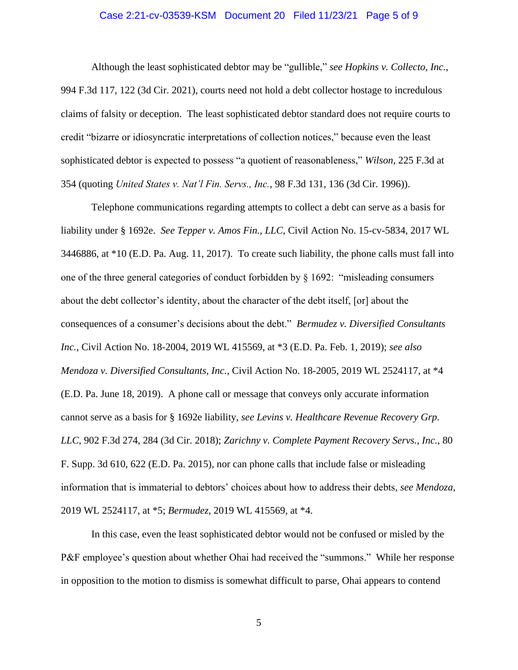## Case 2:21-cv-03539-KSM Document 20 Filed 11/23/21 Page 5 of 9

Although the least sophisticated debtor may be "gullible," *see Hopkins v. Collecto, Inc.*, 994 F.3d 117, 122 (3d Cir. 2021), courts need not hold a debt collector hostage to incredulous claims of falsity or deception. The least sophisticated debtor standard does not require courts to credit "bizarre or idiosyncratic interpretations of collection notices," because even the least sophisticated debtor is expected to possess "a quotient of reasonableness," *Wilson*, 225 F.3d at 354 (quoting *United States v. Nat'l Fin. Servs., Inc.*, 98 F.3d 131, 136 (3d Cir. 1996)).

Telephone communications regarding attempts to collect a debt can serve as a basis for liability under § 1692e. *See Tepper v. Amos Fin., LLC*, Civil Action No. 15-cv-5834, 2017 WL 3446886, at \*10 (E.D. Pa. Aug. 11, 2017). To create such liability, the phone calls must fall into one of the three general categories of conduct forbidden by § 1692: "misleading consumers about the debt collector's identity, about the character of the debt itself, [or] about the consequences of a consumer's decisions about the debt." *Bermudez v. Diversified Consultants Inc.*, Civil Action No. 18-2004, 2019 WL 415569, at \*3 (E.D. Pa. Feb. 1, 2019); *see also Mendoza v. Diversified Consultants, Inc.*, Civil Action No. 18-2005, 2019 WL 2524117, at \*4 (E.D. Pa. June 18, 2019). A phone call or message that conveys only accurate information cannot serve as a basis for § 1692e liability, *see Levins v. Healthcare Revenue Recovery Grp. LLC*, 902 F.3d 274, 284 (3d Cir. 2018); *Zarichny v. Complete Payment Recovery Servs., Inc.*, 80 F. Supp. 3d 610, 622 (E.D. Pa. 2015), nor can phone calls that include false or misleading information that is immaterial to debtors' choices about how to address their debts, *see Mendoza*, 2019 WL 2524117, at \*5; *Bermudez*, 2019 WL 415569, at \*4.

In this case, even the least sophisticated debtor would not be confused or misled by the P&F employee's question about whether Ohai had received the "summons." While her response in opposition to the motion to dismiss is somewhat difficult to parse, Ohai appears to contend

5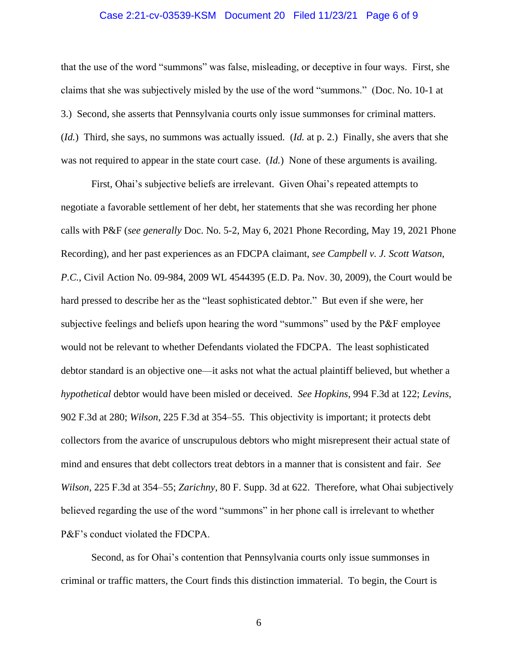## Case 2:21-cv-03539-KSM Document 20 Filed 11/23/21 Page 6 of 9

that the use of the word "summons" was false, misleading, or deceptive in four ways. First, she claims that she was subjectively misled by the use of the word "summons." (Doc. No. 10-1 at 3.) Second, she asserts that Pennsylvania courts only issue summonses for criminal matters. (*Id.*) Third, she says, no summons was actually issued. (*Id.* at p. 2.) Finally, she avers that she was not required to appear in the state court case. (*Id.*) None of these arguments is availing.

First, Ohai's subjective beliefs are irrelevant. Given Ohai's repeated attempts to negotiate a favorable settlement of her debt, her statements that she was recording her phone calls with P&F (*see generally* Doc. No. 5-2, May 6, 2021 Phone Recording, May 19, 2021 Phone Recording), and her past experiences as an FDCPA claimant, *see Campbell v. J. Scott Watson, P.C.*, Civil Action No. 09-984, 2009 WL 4544395 (E.D. Pa. Nov. 30, 2009), the Court would be hard pressed to describe her as the "least sophisticated debtor." But even if she were, her subjective feelings and beliefs upon hearing the word "summons" used by the P&F employee would not be relevant to whether Defendants violated the FDCPA. The least sophisticated debtor standard is an objective one—it asks not what the actual plaintiff believed, but whether a *hypothetical* debtor would have been misled or deceived. *See Hopkins*, 994 F.3d at 122; *Levins*, 902 F.3d at 280; *Wilson*, 225 F.3d at 354–55. This objectivity is important; it protects debt collectors from the avarice of unscrupulous debtors who might misrepresent their actual state of mind and ensures that debt collectors treat debtors in a manner that is consistent and fair. *See Wilson*, 225 F.3d at 354–55; *Zarichny*, 80 F. Supp. 3d at 622. Therefore, what Ohai subjectively believed regarding the use of the word "summons" in her phone call is irrelevant to whether P&F's conduct violated the FDCPA.

Second, as for Ohai's contention that Pennsylvania courts only issue summonses in criminal or traffic matters, the Court finds this distinction immaterial. To begin, the Court is

6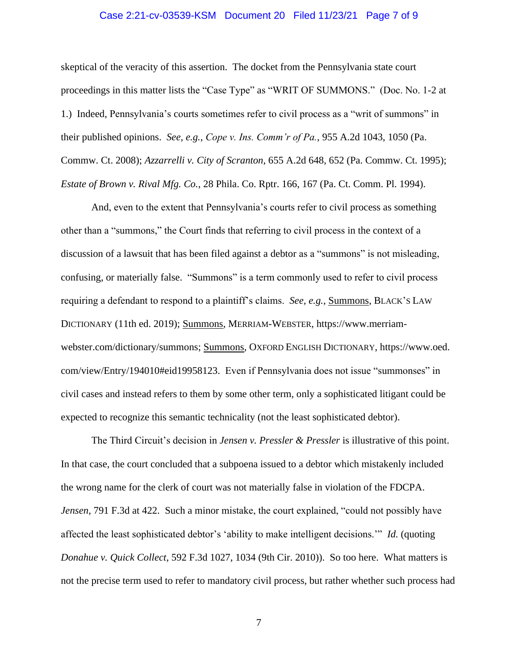## Case 2:21-cv-03539-KSM Document 20 Filed 11/23/21 Page 7 of 9

skeptical of the veracity of this assertion. The docket from the Pennsylvania state court proceedings in this matter lists the "Case Type" as "WRIT OF SUMMONS." (Doc. No. 1-2 at 1.) Indeed, Pennsylvania's courts sometimes refer to civil process as a "writ of summons" in their published opinions. *See, e.g.*, *Cope v. Ins. Comm'r of Pa.*, 955 A.2d 1043, 1050 (Pa. Commw. Ct. 2008); *Azzarrelli v. City of Scranton*, 655 A.2d 648, 652 (Pa. Commw. Ct. 1995); *Estate of Brown v. Rival Mfg. Co.*, 28 Phila. Co. Rptr. 166, 167 (Pa. Ct. Comm. Pl. 1994).

And, even to the extent that Pennsylvania's courts refer to civil process as something other than a "summons," the Court finds that referring to civil process in the context of a discussion of a lawsuit that has been filed against a debtor as a "summons" is not misleading, confusing, or materially false. "Summons" is a term commonly used to refer to civil process requiring a defendant to respond to a plaintiff's claims. *See, e.g.*, Summons, BLACK'S LAW DICTIONARY (11th ed. 2019); Summons, MERRIAM-WEBSTER, https://www.merriamwebster.com/dictionary/summons; Summons, OXFORD ENGLISH DICTIONARY, https://www.oed. com/view/Entry/194010#eid19958123. Even if Pennsylvania does not issue "summonses" in civil cases and instead refers to them by some other term, only a sophisticated litigant could be expected to recognize this semantic technicality (not the least sophisticated debtor).

The Third Circuit's decision in *Jensen v. Pressler & Pressler* is illustrative of this point. In that case, the court concluded that a subpoena issued to a debtor which mistakenly included the wrong name for the clerk of court was not materially false in violation of the FDCPA. *Jensen*, 791 F.3d at 422. Such a minor mistake, the court explained, "could not possibly have affected the least sophisticated debtor's 'ability to make intelligent decisions.'" *Id.* (quoting *Donahue v. Quick Collect*, 592 F.3d 1027, 1034 (9th Cir. 2010)). So too here. What matters is not the precise term used to refer to mandatory civil process, but rather whether such process had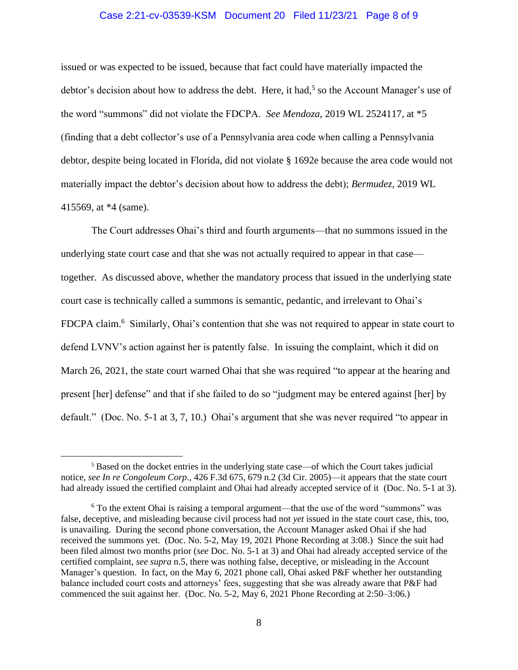## Case 2:21-cv-03539-KSM Document 20 Filed 11/23/21 Page 8 of 9

issued or was expected to be issued, because that fact could have materially impacted the debtor's decision about how to address the debt. Here, it had,<sup>5</sup> so the Account Manager's use of the word "summons" did not violate the FDCPA. *See Mendoza*, 2019 WL 2524117, at \*5 (finding that a debt collector's use of a Pennsylvania area code when calling a Pennsylvania debtor, despite being located in Florida, did not violate § 1692e because the area code would not materially impact the debtor's decision about how to address the debt); *Bermudez*, 2019 WL 415569, at \*4 (same).

The Court addresses Ohai's third and fourth arguments—that no summons issued in the underlying state court case and that she was not actually required to appear in that case together. As discussed above, whether the mandatory process that issued in the underlying state court case is technically called a summons is semantic, pedantic, and irrelevant to Ohai's FDCPA claim.<sup>6</sup> Similarly, Ohai's contention that she was not required to appear in state court to defend LVNV's action against her is patently false. In issuing the complaint, which it did on March 26, 2021, the state court warned Ohai that she was required "to appear at the hearing and present [her] defense" and that if she failed to do so "judgment may be entered against [her] by default." (Doc. No. 5-1 at 3, 7, 10.) Ohai's argument that she was never required "to appear in

<sup>5</sup> Based on the docket entries in the underlying state case—of which the Court takes judicial notice, *see In re Congoleum Corp.*, 426 F.3d 675, 679 n.2 (3d Cir. 2005)—it appears that the state court had already issued the certified complaint and Ohai had already accepted service of it (Doc. No. 5-1 at 3).

 $6$  To the extent Ohai is raising a temporal argument—that the use of the word "summons" was false, deceptive, and misleading because civil process had not *yet* issued in the state court case, this, too, is unavailing. During the second phone conversation, the Account Manager asked Ohai if she had received the summons yet. (Doc. No. 5-2, May 19, 2021 Phone Recording at 3:08.) Since the suit had been filed almost two months prior (*see* Doc. No. 5-1 at 3) and Ohai had already accepted service of the certified complaint, *see supra* n.5, there was nothing false, deceptive, or misleading in the Account Manager's question. In fact, on the May 6, 2021 phone call, Ohai asked P&F whether her outstanding balance included court costs and attorneys' fees, suggesting that she was already aware that P&F had commenced the suit against her. (Doc. No. 5-2, May 6, 2021 Phone Recording at 2:50–3:06.)